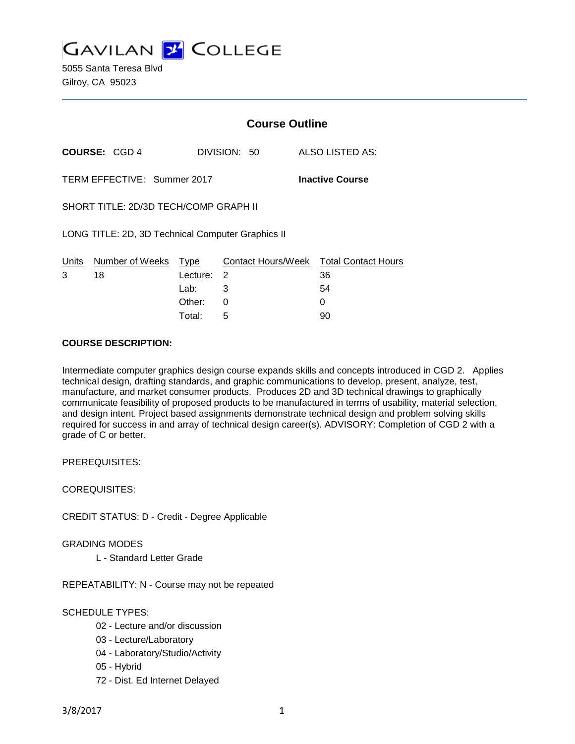

5055 Santa Teresa Blvd Gilroy, CA 95023

|                                                       |                      | <b>Course Outline</b> |              |                                        |
|-------------------------------------------------------|----------------------|-----------------------|--------------|----------------------------------------|
|                                                       | <b>COURSE: CGD 4</b> |                       | DIVISION: 50 | ALSO LISTED AS:                        |
| TERM EFFECTIVE: Summer 2017<br><b>Inactive Course</b> |                      |                       |              |                                        |
| SHORT TITLE: 2D/3D TECH/COMP GRAPH II                 |                      |                       |              |                                        |
| LONG TITLE: 2D, 3D Technical Computer Graphics II     |                      |                       |              |                                        |
| Units                                                 | Number of Weeks Type |                       |              | Contact Hours/Week Total Contact Hours |
| 3                                                     | 18                   | Lecture:              | -2           | 36                                     |
|                                                       |                      | Lab: La               | 3            | 54                                     |
|                                                       |                      | Other:                | 0            | 0                                      |
|                                                       |                      | Total:                | 5            | 90                                     |

## **COURSE DESCRIPTION:**

Intermediate computer graphics design course expands skills and concepts introduced in CGD 2. Applies technical design, drafting standards, and graphic communications to develop, present, analyze, test, manufacture, and market consumer products. Produces 2D and 3D technical drawings to graphically communicate feasibility of proposed products to be manufactured in terms of usability, material selection, and design intent. Project based assignments demonstrate technical design and problem solving skills required for success in and array of technical design career(s). ADVISORY: Completion of CGD 2 with a grade of C or better.

PREREQUISITES:

COREQUISITES:

CREDIT STATUS: D - Credit - Degree Applicable

GRADING MODES

L - Standard Letter Grade

REPEATABILITY: N - Course may not be repeated

### SCHEDULE TYPES:

- 02 Lecture and/or discussion
- 03 Lecture/Laboratory
- 04 Laboratory/Studio/Activity
- 05 Hybrid
- 72 Dist. Ed Internet Delayed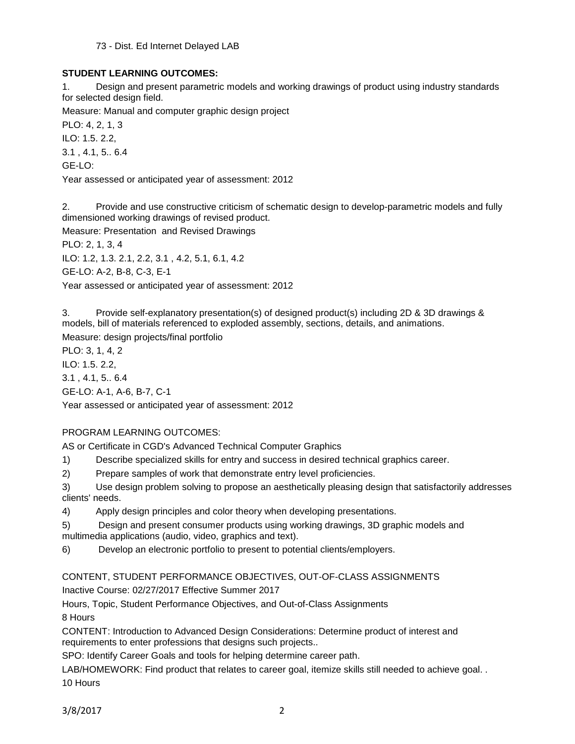73 - Dist. Ed Internet Delayed LAB

# **STUDENT LEARNING OUTCOMES:**

1. Design and present parametric models and working drawings of product using industry standards for selected design field.

Measure: Manual and computer graphic design project

PLO: 4, 2, 1, 3 ILO: 1.5. 2.2, 3.1 , 4.1, 5.. 6.4

GE-LO:

Year assessed or anticipated year of assessment: 2012

2. Provide and use constructive criticism of schematic design to develop-parametric models and fully dimensioned working drawings of revised product.

Measure: Presentation and Revised Drawings

PLO: 2, 1, 3, 4

ILO: 1.2, 1.3. 2.1, 2.2, 3.1 , 4.2, 5.1, 6.1, 4.2

GE-LO: A-2, B-8, C-3, E-1

Year assessed or anticipated year of assessment: 2012

3. Provide self-explanatory presentation(s) of designed product(s) including 2D & 3D drawings & models, bill of materials referenced to exploded assembly, sections, details, and animations. Measure: design projects/final portfolio

PLO: 3, 1, 4, 2

ILO: 1.5. 2.2,

3.1 , 4.1, 5.. 6.4

GE-LO: A-1, A-6, B-7, C-1

Year assessed or anticipated year of assessment: 2012

# PROGRAM LEARNING OUTCOMES:

AS or Certificate in CGD's Advanced Technical Computer Graphics

1) Describe specialized skills for entry and success in desired technical graphics career.

2) Prepare samples of work that demonstrate entry level proficiencies.

3) Use design problem solving to propose an aesthetically pleasing design that satisfactorily addresses clients' needs.

4) Apply design principles and color theory when developing presentations.

5) Design and present consumer products using working drawings, 3D graphic models and multimedia applications (audio, video, graphics and text).

6) Develop an electronic portfolio to present to potential clients/employers.

# CONTENT, STUDENT PERFORMANCE OBJECTIVES, OUT-OF-CLASS ASSIGNMENTS

Inactive Course: 02/27/2017 Effective Summer 2017

Hours, Topic, Student Performance Objectives, and Out-of-Class Assignments 8 Hours

CONTENT: Introduction to Advanced Design Considerations: Determine product of interest and requirements to enter professions that designs such projects..

SPO: Identify Career Goals and tools for helping determine career path.

LAB/HOMEWORK: Find product that relates to career goal, itemize skills still needed to achieve goal. . 10 Hours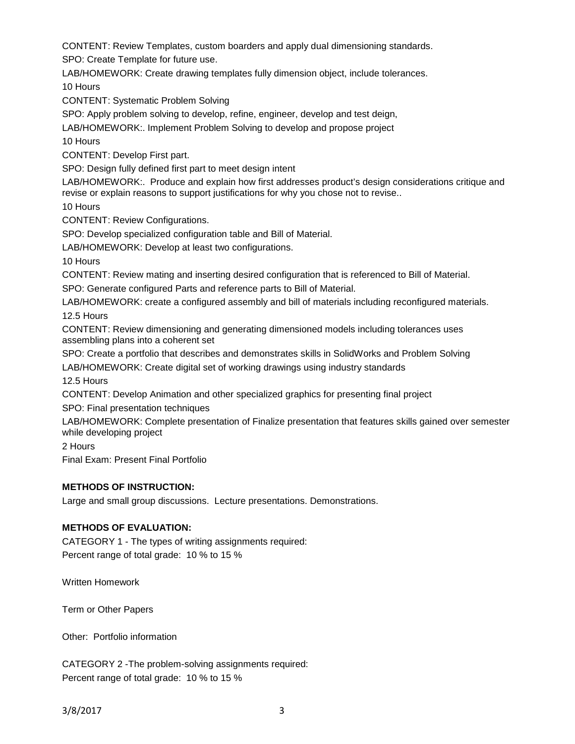CONTENT: Review Templates, custom boarders and apply dual dimensioning standards.

SPO: Create Template for future use.

LAB/HOMEWORK: Create drawing templates fully dimension object, include tolerances.

10 Hours

CONTENT: Systematic Problem Solving

SPO: Apply problem solving to develop, refine, engineer, develop and test deign,

LAB/HOMEWORK:. Implement Problem Solving to develop and propose project

10 Hours

CONTENT: Develop First part.

SPO: Design fully defined first part to meet design intent

LAB/HOMEWORK:. Produce and explain how first addresses product's design considerations critique and revise or explain reasons to support justifications for why you chose not to revise..

10 Hours

CONTENT: Review Configurations.

SPO: Develop specialized configuration table and Bill of Material.

LAB/HOMEWORK: Develop at least two configurations.

10 Hours

CONTENT: Review mating and inserting desired configuration that is referenced to Bill of Material.

SPO: Generate configured Parts and reference parts to Bill of Material.

LAB/HOMEWORK: create a configured assembly and bill of materials including reconfigured materials.

12.5 Hours

CONTENT: Review dimensioning and generating dimensioned models including tolerances uses assembling plans into a coherent set

SPO: Create a portfolio that describes and demonstrates skills in SolidWorks and Problem Solving

LAB/HOMEWORK: Create digital set of working drawings using industry standards

12.5 Hours

CONTENT: Develop Animation and other specialized graphics for presenting final project

SPO: Final presentation techniques

LAB/HOMEWORK: Complete presentation of Finalize presentation that features skills gained over semester while developing project

2 Hours

Final Exam: Present Final Portfolio

### **METHODS OF INSTRUCTION:**

Large and small group discussions. Lecture presentations. Demonstrations.

# **METHODS OF EVALUATION:**

CATEGORY 1 - The types of writing assignments required: Percent range of total grade: 10 % to 15 %

Written Homework

Term or Other Papers

Other: Portfolio information

CATEGORY 2 -The problem-solving assignments required: Percent range of total grade: 10 % to 15 %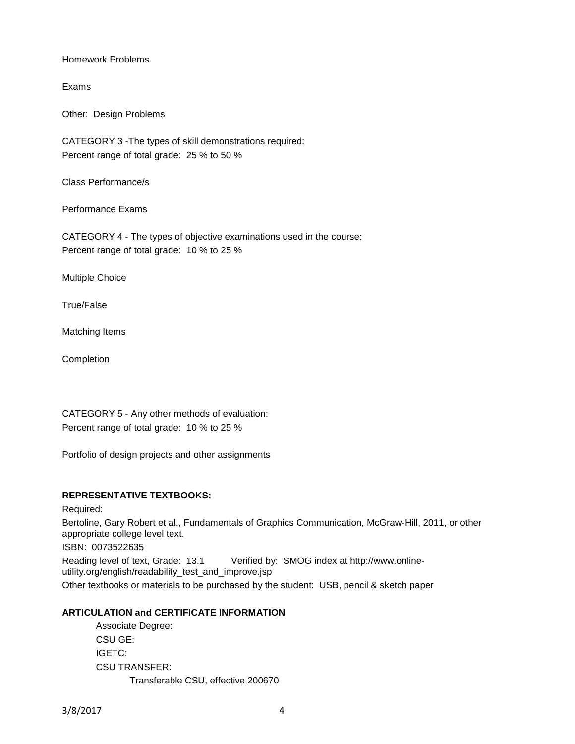Homework Problems

Exams

Other: Design Problems

CATEGORY 3 -The types of skill demonstrations required: Percent range of total grade: 25 % to 50 %

Class Performance/s

Performance Exams

CATEGORY 4 - The types of objective examinations used in the course: Percent range of total grade: 10 % to 25 %

Multiple Choice

True/False

Matching Items

**Completion** 

CATEGORY 5 - Any other methods of evaluation: Percent range of total grade: 10 % to 25 %

Portfolio of design projects and other assignments

#### **REPRESENTATIVE TEXTBOOKS:**

Required: Bertoline, Gary Robert et al., Fundamentals of Graphics Communication, McGraw-Hill, 2011, or other appropriate college level text. ISBN: 0073522635 Reading level of text, Grade: 13.1 Verified by: SMOG index at http://www.onlineutility.org/english/readability\_test\_and\_improve.jsp Other textbooks or materials to be purchased by the student: USB, pencil & sketch paper

### **ARTICULATION and CERTIFICATE INFORMATION**

Associate Degree: CSU GE: IGETC: CSU TRANSFER: Transferable CSU, effective 200670